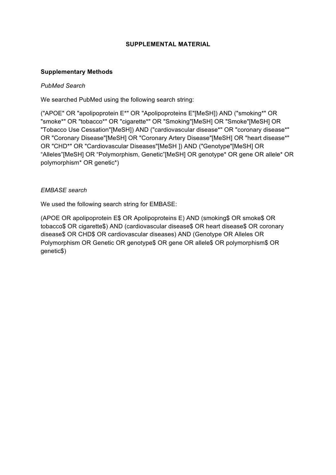### **SUPPLEMENTAL MATERIAL**

### **Supplementary Methods**

### *PubMed Search*

We searched PubMed using the following search string:

("APOE" OR "apolipoprotein E\*" OR "Apolipoproteins E"[MeSH]) AND ("smoking\*" OR "smoke\*" OR "tobacco\*" OR "cigarette\*" OR "Smoking"[MeSH] OR "Smoke"[MeSH] OR "Tobacco Use Cessation"[MeSH]) AND ("cardiovascular disease\*" OR "coronary disease\*" OR "Coronary Disease"[MeSH] OR "Coronary Artery Disease"[MeSH] OR "heart disease\*" OR "CHD\*" OR "Cardiovascular Diseases"[MeSH ]) AND ("Genotype"[MeSH] OR "Alleles"[MeSH] OR "Polymorphism, Genetic"[MeSH] OR genotype\* OR gene OR allele\* OR polymorphism\* OR genetic\*)

### *EMBASE search*

We used the following search string for EMBASE:

(APOE OR apolipoprotein E\$ OR Apolipoproteins E) AND (smoking\$ OR smoke\$ OR tobacco\$ OR cigarette\$) AND (cardiovascular disease\$ OR heart disease\$ OR coronary disease\$ OR CHD\$ OR cardiovascular diseases) AND (Genotype OR Alleles OR Polymorphism OR Genetic OR genotype\$ OR gene OR allele\$ OR polymorphism\$ OR genetic\$)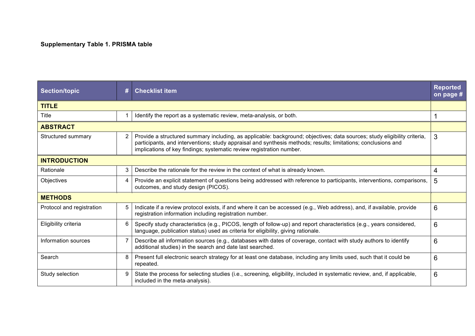### **Supplementary Table 1. PRISMA table**

| <b>Section/topic</b>      | # | <b>Checklist item</b>                                                                                                                                                                                                                                                                                             | <b>Reported</b><br>on page # |
|---------------------------|---|-------------------------------------------------------------------------------------------------------------------------------------------------------------------------------------------------------------------------------------------------------------------------------------------------------------------|------------------------------|
| <b>TITLE</b>              |   |                                                                                                                                                                                                                                                                                                                   |                              |
| Title                     |   | Identify the report as a systematic review, meta-analysis, or both.                                                                                                                                                                                                                                               |                              |
| <b>ABSTRACT</b>           |   |                                                                                                                                                                                                                                                                                                                   |                              |
| Structured summary        | 2 | Provide a structured summary including, as applicable: background; objectives; data sources; study eligibility criteria,<br>participants, and interventions; study appraisal and synthesis methods; results; limitations; conclusions and<br>implications of key findings; systematic review registration number. | 3                            |
| <b>INTRODUCTION</b>       |   |                                                                                                                                                                                                                                                                                                                   |                              |
| Rationale                 | 3 | Describe the rationale for the review in the context of what is already known.                                                                                                                                                                                                                                    | 4                            |
| Objectives                |   | Provide an explicit statement of questions being addressed with reference to participants, interventions, comparisons,<br>outcomes, and study design (PICOS).                                                                                                                                                     | 5                            |
| <b>METHODS</b>            |   |                                                                                                                                                                                                                                                                                                                   |                              |
| Protocol and registration |   | Indicate if a review protocol exists, if and where it can be accessed (e.g., Web address), and, if available, provide<br>registration information including registration number.                                                                                                                                  | 6                            |
| Eligibility criteria      |   | Specify study characteristics (e.g., PICOS, length of follow-up) and report characteristics (e.g., years considered,<br>language, publication status) used as criteria for eligibility, giving rationale.                                                                                                         | 6                            |
| Information sources       |   | Describe all information sources (e.g., databases with dates of coverage, contact with study authors to identify<br>additional studies) in the search and date last searched.                                                                                                                                     | 6                            |
| Search                    | 8 | Present full electronic search strategy for at least one database, including any limits used, such that it could be<br>repeated.                                                                                                                                                                                  | 6                            |
| Study selection           |   | State the process for selecting studies (i.e., screening, eligibility, included in systematic review, and, if applicable,<br>included in the meta-analysis).                                                                                                                                                      | 6                            |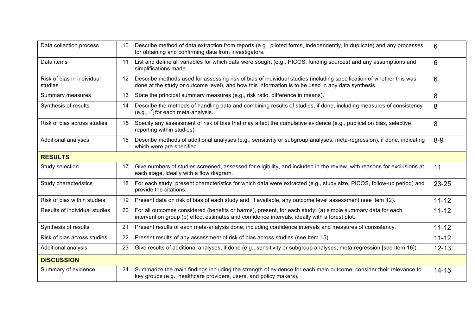| Data collection process               | 10 | Describe method of data extraction from reports (e.g., piloted forms, independently, in duplicate) and any processes<br>for obtaining and confirming data from investigators.                                             |           |
|---------------------------------------|----|---------------------------------------------------------------------------------------------------------------------------------------------------------------------------------------------------------------------------|-----------|
| Data items                            | 11 | List and define all variables for which data were sought (e.g., PICOS, funding sources) and any assumptions and<br>simplifications made.                                                                                  |           |
| Risk of bias in individual<br>studies | 12 | Describe methods used for assessing risk of bias of individual studies (including specification of whether this was<br>done at the study or outcome level), and how this information is to be used in any data synthesis. |           |
| Summary measures                      | 13 | State the principal summary measures (e.g., risk ratio, difference in means).                                                                                                                                             | 8         |
| Synthesis of results                  | 14 | Describe the methods of handling data and combining results of studies, if done, including measures of consistency<br>(e.g., $I^2$ ) for each meta-analysis.                                                              | 8         |
| Risk of bias across studies           | 15 | Specify any assessment of risk of bias that may affect the cumulative evidence (e.g., publication bias, selective<br>reporting within studies).                                                                           | 8         |
| <b>Additional analyses</b>            | 16 | Describe methods of additional analyses (e.g., sensitivity or subgroup analyses, meta-regression), if done, indicating<br>which were pre-specified.                                                                       | $8 - 9$   |
| <b>RESULTS</b>                        |    |                                                                                                                                                                                                                           |           |
| Study selection                       | 17 | Give numbers of studies screened, assessed for eligibility, and included in the review, with reasons for exclusions at<br>each stage, ideally with a flow diagram.                                                        | 11        |
| Study characteristics                 | 18 | For each study, present characteristics for which data were extracted (e.g., study size, PICOS, follow-up period) and<br>provide the citations.                                                                           | 23-25     |
| Risk of bias within studies           | 19 | Present data on risk of bias of each study and, if available, any outcome level assessment (see item 12).                                                                                                                 | $11 - 12$ |
| Results of individual studies         | 20 | For all outcomes considered (benefits or harms), present, for each study: (a) simple summary data for each<br>intervention group (b) effect estimates and confidence intervals, ideally with a forest plot.               | $11 - 12$ |
| Synthesis of results                  | 21 | Present results of each meta-analysis done, including confidence intervals and measures of consistency.                                                                                                                   | $11 - 12$ |
| Risk of bias across studies           | 22 | Present results of any assessment of risk of bias across studies (see Item 15).                                                                                                                                           | $11 - 12$ |
| Additional analysis                   | 23 | Give results of additional analyses, if done (e.g., sensitivity or subgroup analyses, meta-regression [see Item 16]).                                                                                                     | $12 - 13$ |
| <b>DISCUSSION</b>                     |    |                                                                                                                                                                                                                           |           |
| Summary of evidence                   | 24 | Summarize the main findings including the strength of evidence for each main outcome; consider their relevance to<br>key groups (e.g., healthcare providers, users, and policy makers).                                   | $14 - 15$ |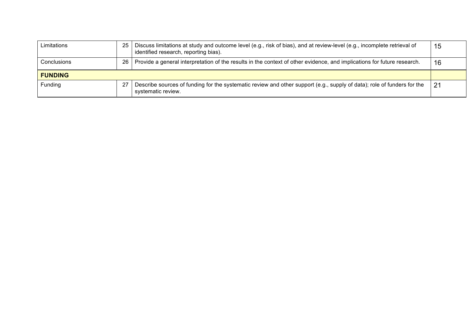| Limitations    | 25 | Discuss limitations at study and outcome level (e.g., risk of bias), and at review-level (e.g., incomplete retrieval of<br>identified research, reporting bias). | 15 |
|----------------|----|------------------------------------------------------------------------------------------------------------------------------------------------------------------|----|
| Conclusions    | 26 | Provide a general interpretation of the results in the context of other evidence, and implications for future research.                                          | 16 |
| <b>FUNDING</b> |    |                                                                                                                                                                  |    |
| Funding        | 27 | Describe sources of funding for the systematic review and other support (e.g., supply of data); role of funders for the<br>systematic review.                    | 21 |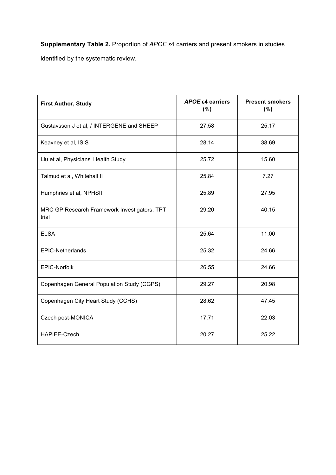**Supplementary Table 2.** Proportion of *APOE* ε4 carriers and present smokers in studies identified by the systematic review.

| <b>First Author, Study</b>                            | APOE ε4 carriers<br>(%) | <b>Present smokers</b><br>(%) |
|-------------------------------------------------------|-------------------------|-------------------------------|
| Gustavsson J et al, / INTERGENE and SHEEP             | 27.58                   | 25.17                         |
| Keavney et al, ISIS                                   | 28.14                   | 38.69                         |
| Liu et al, Physicians' Health Study                   | 25.72                   | 15.60                         |
| Talmud et al, Whitehall II                            | 25.84                   | 7.27                          |
| Humphries et al, NPHSII                               | 25.89                   | 27.95                         |
| MRC GP Research Framework Investigators, TPT<br>trial | 29.20                   | 40.15                         |
| <b>ELSA</b>                                           | 25.64                   | 11.00                         |
| <b>EPIC-Netherlands</b>                               | 25.32                   | 24.66                         |
| <b>EPIC-Norfolk</b>                                   | 26.55                   | 24.66                         |
| Copenhagen General Population Study (CGPS)            | 29.27                   | 20.98                         |
| Copenhagen City Heart Study (CCHS)                    | 28.62                   | 47.45                         |
| Czech post-MONICA                                     | 17.71                   | 22.03                         |
| HAPIEE-Czech                                          | 20.27                   | 25.22                         |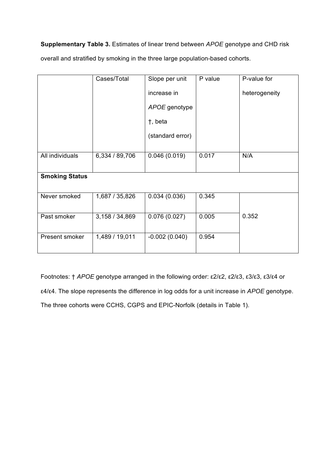**Supplementary Table 3.** Estimates of linear trend between *APOE* genotype and CHD risk

overall and stratified by smoking in the three large population-based cohorts.

|                       | Cases/Total    | Slope per unit   | P value | P-value for   |
|-----------------------|----------------|------------------|---------|---------------|
|                       |                | increase in      |         | heterogeneity |
|                       |                | APOE genotype    |         |               |
|                       |                | t, beta          |         |               |
|                       |                | (standard error) |         |               |
|                       |                |                  |         |               |
| All individuals       | 6,334 / 89,706 | 0.046(0.019)     | 0.017   | N/A           |
|                       |                |                  |         |               |
| <b>Smoking Status</b> |                |                  |         |               |
|                       |                |                  |         |               |
| Never smoked          | 1,687 / 35,826 | 0.034(0.036)     | 0.345   |               |
|                       |                |                  |         |               |
| Past smoker           | 3,158 / 34,869 | 0.076(0.027)     | 0.005   | 0.352         |
|                       |                |                  |         |               |
| Present smoker        | 1,489 / 19,011 | $-0.002(0.040)$  | 0.954   |               |
|                       |                |                  |         |               |

Footnotes: † *APOE* genotype arranged in the following order: ε2/ε2, ε2/ε3, ε3/ε3, ε3/ε4 or ε4/ε4. The slope represents the difference in log odds for a unit increase in *APOE* genotype. The three cohorts were CCHS, CGPS and EPIC-Norfolk (details in Table 1).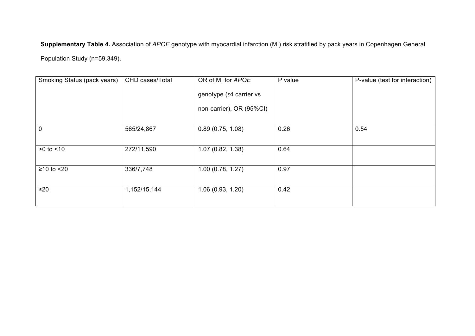**Supplementary Table 4.** Association of *APOE* genotype with myocardial infarction (MI) risk stratified by pack years in Copenhagen General Population Study (n=59,349).

| Smoking Status (pack years) | CHD cases/Total | OR of MI for APOE<br>genotype (ε4 carrier vs | P value | P-value (test for interaction) |
|-----------------------------|-----------------|----------------------------------------------|---------|--------------------------------|
|                             |                 | non-carrier), OR (95%CI)                     |         |                                |
| $\mathbf 0$                 | 565/24,867      | 0.89(0.75, 1.08)                             | 0.26    | 0.54                           |
| $>0$ to $< 10$              | 272/11,590      | 1.07(0.82, 1.38)                             | 0.64    |                                |
| $≥10$ to $≤20$              | 336/7,748       | 1.00(0.78, 1.27)                             | 0.97    |                                |
| $\geq$ 20                   | 1,152/15,144    | 1.06(0.93, 1.20)                             | 0.42    |                                |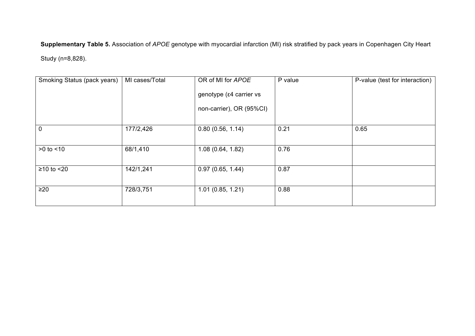**Supplementary Table 5.** Association of *APOE* genotype with myocardial infarction (MI) risk stratified by pack years in Copenhagen City Heart Study (n=8,828).

| Smoking Status (pack years) | MI cases/Total | OR of MI for APOE<br>genotype (ε4 carrier vs<br>non-carrier), OR (95%CI) | P value | P-value (test for interaction) |
|-----------------------------|----------------|--------------------------------------------------------------------------|---------|--------------------------------|
| $\mathbf 0$                 | 177/2,426      | 0.80(0.56, 1.14)                                                         | 0.21    | 0.65                           |
| $>0$ to $< 10$              | 68/1,410       | 1.08(0.64, 1.82)                                                         | 0.76    |                                |
| $\geq$ 10 to $\leq$ 20      | 142/1,241      | 0.97(0.65, 1.44)                                                         | 0.87    |                                |
| $\geq$ 20                   | 728/3,751      | 1.01(0.85, 1.21)                                                         | 0.88    |                                |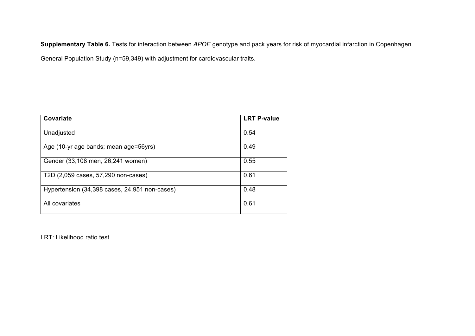**Supplementary Table 6.** Tests for interaction between *APOE* genotype and pack years for risk of myocardial infarction in Copenhagen

General Population Study (n=59,349) with adjustment for cardiovascular traits.

| Covariate                                     | <b>LRT P-value</b> |
|-----------------------------------------------|--------------------|
| Unadjusted                                    | 0.54               |
| Age (10-yr age bands; mean age=56yrs)         | 0.49               |
| Gender (33,108 men, 26,241 women)             | 0.55               |
| T2D (2,059 cases, 57,290 non-cases)           | 0.61               |
| Hypertension (34,398 cases, 24,951 non-cases) | 0.48               |
| All covariates                                | 0.61               |

LRT: Likelihood ratio test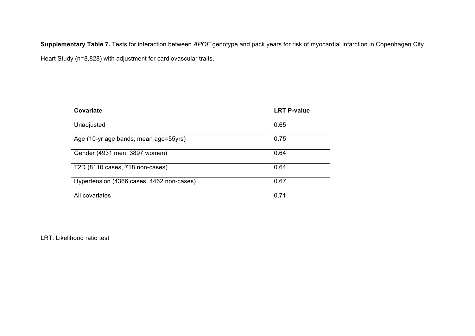**Supplementary Table 7.** Tests for interaction between *APOE* genotype and pack years for risk of myocardial infarction in Copenhagen City Heart Study (n=8,828) with adjustment for cardiovascular traits.

| Covariate                                 | <b>LRT P-value</b> |
|-------------------------------------------|--------------------|
| Unadjusted                                | 0.65               |
| Age (10-yr age bands; mean age=55yrs)     | 0.75               |
| Gender (4931 men, 3897 women)             | 0.64               |
| T2D (8110 cases, 718 non-cases)           | 0.64               |
| Hypertension (4366 cases, 4462 non-cases) | 0.67               |
| All covariates                            | 0.71               |

LRT: Likelihood ratio test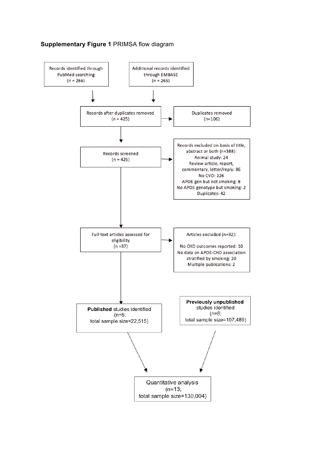

### **Supplementary Figure 1** PRIMSA flow diagram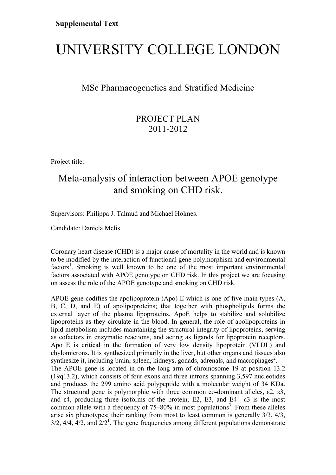# UNIVERSITY COLLEGE LONDON

## MSc Pharmacogenetics and Stratified Medicine

## PROJECT PLAN 2011-2012

Project title:

## Meta-analysis of interaction between APOE genotype and smoking on CHD risk.

Supervisors: Philippa J. Talmud and Michael Holmes.

Candidate: Daniela Melis

Coronary heart disease (CHD) is a major cause of mortality in the world and is known to be modified by the interaction of functional gene polymorphism and environmental factors<sup>1</sup>. Smoking is well known to be one of the most important environmental factors associated with APOE genotype on CHD risk. In this project we are focusing on assess the role of the APOE genotype and smoking on CHD risk.

APOE gene codifies the apolipoprotein (Apo) E which is one of five main types (A, B, C, D, and E) of apolipoproteins; that together with phospholipids forms the external layer of the plasma lipoproteins. ApoE helps to stabilize and solubilize lipoproteins as they circulate in the blood. In general, the role of apolipoproteins in lipid metabolism includes maintaining the structural integrity of lipoproteins, serving as cofactors in enzymatic reactions, and acting as ligands for lipoprotein receptors. Apo E is critical in the formation of very low density lipoprotein (VLDL) and chylomicrons. It is synthesized primarily in the liver, but other organs and tissues also synthesize it, including brain, spleen, kidneys, gonads, adrenals, and macrophages<sup>2</sup>. The APOE gene is located in on the long arm of chromosome 19 at position 13.2 (19q13.2), which consists of four exons and three introns spanning 3,597 nucleotides and produces the 299 amino acid polypeptide with a molecular weight of 34 KDa. The structural gene is polymorphic with three common co-dominant alleles,  $\epsilon^2$ ,  $\epsilon^3$ , and  $\varepsilon$ 4, producing three isoforms of the protein, E2, E3, and E4<sup>1</sup>.  $\varepsilon$ 3 is the most common allele with a frequency of  $75-80\%$  in most populations<sup>3</sup>. From these alleles arise six phenotypes; their ranking from most to least common is generally 3/3, 4/3,  $3/2$ ,  $4/4$ ,  $4/2$ , and  $2/2<sup>1</sup>$ . The gene frequencies among different populations demonstrate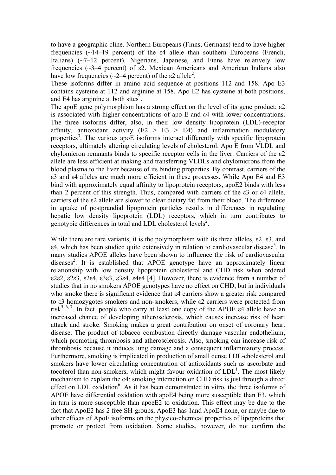to have a geographic cline. Northern Europeans (Finns, Germans) tend to have higher frequencies (~14–19 percent) of the ε4 allele than southern Europeans (French, Italians) (~7–12 percent). Nigerians, Japanese, and Finns have relatively low frequencies ( $\sim$ 3–4 percent) of ε2. Mexican Americans and American Indians also have low frequencies ( $\sim$ 2–4 percent) of the  $\varepsilon$ 2 allele<sup>2</sup>.

These isoforms differ in amino acid sequence at positions 112 and 158. Apo E3 contains cysteine at 112 and arginine at 158. Apo E2 has cysteine at both positions, and E4 has arginine at both sites $\overline{4}$ .

The apoE gene polymorphism has a strong effect on the level of its gene product; ε2 is associated with higher concentrations of apo E and ε4 with lower concentrations. The three isoforms differ, also, in their low density lipoprotein (LDL)-receptor affinity, antioxidant activity  $(E2 > E3 > E4)$  and inflammation modulatory properties<sup>3</sup>. The various apoE isoforms interact differently with specific lipoprotein receptors, ultimately altering circulating levels of cholesterol. Apo E from VLDL and chylomicron remnants binds to specific receptor cells in the liver. Carriers of the ε2 allele are less efficient at making and transferring VLDLs and chylomicrons from the blood plasma to the liver because of its binding properties. By contrast, carriers of the ε3 and ε4 alleles are much more efficient in these processes. While Apo E4 and E3 bind with approximately equal affinity to lipoprotein receptors, apoE2 binds with less than 2 percent of this strength. Thus, compared with carriers of the ε3 or ε4 allele, carriers of the ε2 allele are slower to clear dietary fat from their blood. The difference in uptake of postprandial lipoprotein particles results in differences in regulating hepatic low density lipoprotein (LDL) receptors, which in turn contributes to genotypic differences in total and LDL cholesterol levels<sup>2</sup>.

While there are rare variants, it is the polymorphism with its three alleles,  $\varepsilon$ 2,  $\varepsilon$ 3, and  $\varepsilon$ 4, which has been studied quite extensively in relation to cardiovascular disease<sup>3</sup>. In many studies APOE alleles have been shown to influence the risk of cardiovascular diseases<sup>2</sup>. It is established that APOE genotype have an approximately linear relationship with low density lipoprotein cholesterol and CHD risk when ordered ε2ε2, ε2ε3, ε2ε4, ε3ε3, ε3ε4, ε4ε4 [4]. However, there is evidence from a number of studies that in no smokers APOE genotypes have no effect on CHD, but in individuals who smoke there is significant evidence that ε4 carriers show a greater risk compared to ε3 homozygotes smokers and non-smokers, while ε2 carriers were protected from risk<sup>5, 6, 7</sup>. In fact, people who carry at least one copy of the APOE  $\varepsilon$ 4 allele have an increased chance of developing atherosclerosis, which causes increase risk of heart attack and stroke. Smoking makes a great contribution on onset of coronary heart disease. The product of tobacco combustion directly damage vascular endothelium, which promoting thrombosis and atherosclerosis. Also, smoking can increase risk of thrombosis because it induces lung damage and a consequent inflammatory process. Furthermore, smoking is implicated in production of small dense LDL-cholesterol and smokers have lower circulating concentration of antioxidants such as ascorbate and tocoferol than non-smokers, which might favour oxidation of  $LDL<sup>1</sup>$ . The most likely mechanism to explain the e4: smoking interaction on CHD risk is just through a direct effect on LDL oxidation<sup>6</sup>. As it has been demonstrated in vitro, the three isoforms of APOE have differential oxidation with apoE4 being more susceptible than E3, which in turn is more susceptible than apoeE2 to oxidation. This effect may be due to the fact that ApoE2 has 2 free SH-groups, ApoE3 has 1and ApoE4 none, or maybe due to other effects of ApoE isoforms on the physico-chemical properties of lipoproteins that promote or protect from oxidation. Some studies, however, do not confirm the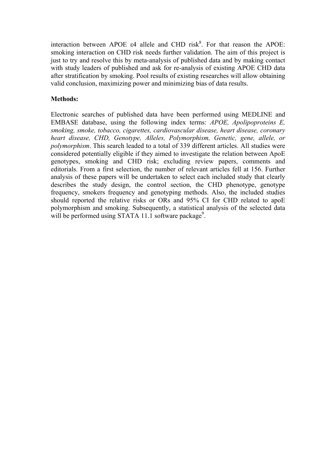interaction between APOE  $\varepsilon$ 4 allele and CHD risk<sup>8</sup>. For that reason the APOE: smoking interaction on CHD risk needs further validation. The aim of this project is just to try and resolve this by meta-analysis of published data and by making contact with study leaders of published and ask for re-analysis of existing APOE CHD data after stratification by smoking. Pool results of existing researches will allow obtaining valid conclusion, maximizing power and minimizing bias of data results.

### **Methods:**

Electronic searches of published data have been performed using MEDLINE and EMBASE database, using the following index terms: *APOE, Apolipoproteins E, smoking, smoke, tobacco, cigarettes, cardiovascular disease, heart disease, coronary heart disease, CHD, Genotype, Alleles, Polymorphism, Genetic, gene, allele, or polymorphism*. This search leaded to a total of 339 different articles. All studies were considered potentially eligible if they aimed to investigate the relation between ApoE genotypes, smoking and CHD risk; excluding review papers, comments and editorials. From a first selection, the number of relevant articles fell at 156. Further analysis of these papers will be undertaken to select each included study that clearly describes the study design, the control section, the CHD phenotype, genotype frequency, smokers frequency and genotyping methods. Also, the included studies should reported the relative risks or ORs and 95% CI for CHD related to apoE polymorphism and smoking. Subsequently, a statistical analysis of the selected data will be performed using STATA 11.1 software package<sup>9</sup>.